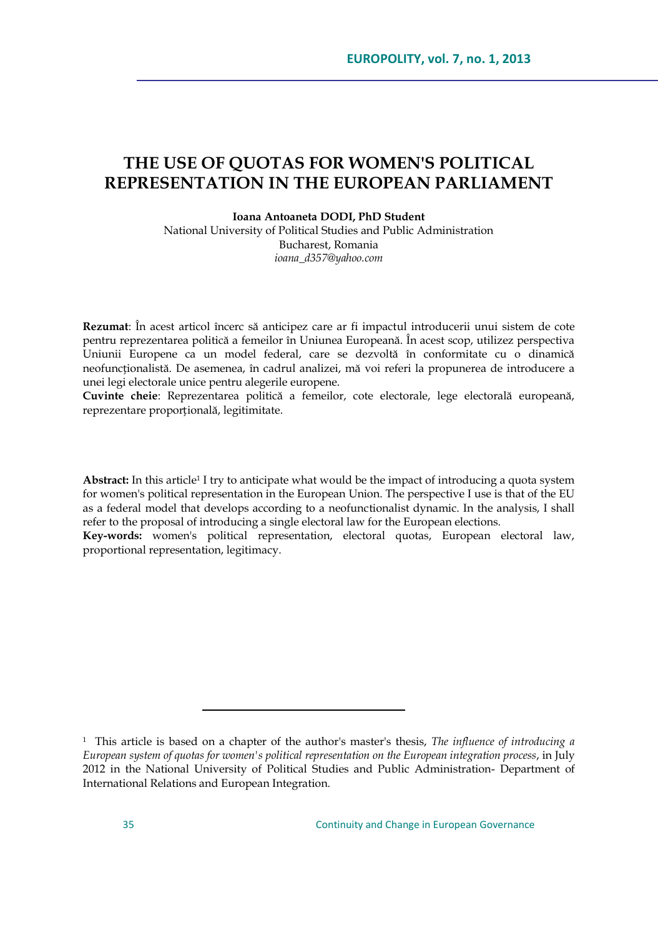# **THE USE OF QUOTAS FOR WOMEN'S POLITICAL REPRESENTATION IN THE EUROPEAN PARLIAMENT**

**Ioana Antoaneta DODI, PhD Student**

National University of Political Studies and Public Administration Bucharest, Romania *ioana\_d357@yahoo.com*

**Rezumat**: În acest articol încerc să anticipez care ar fi impactul introducerii unui sistem de cote pentru reprezentarea politică a femeilor în Uniunea Europeană. În acest scop, utilizez perspectiva Uniunii Europene ca un model federal, care se dezvoltă în conformitate cu o dinamică neofuncționalistă. De asemenea, în cadrul analizei, mă voi referi la propunerea de introducere a unei legi electorale unice pentru alegerile europene.

**Cuvinte cheie**: Reprezentarea politică a femeilor, cote electorale, lege electorală europeană, reprezentare proporțională, legitimitate.

**Abstract:** In this article<sup>1</sup> I try to anticipate what would be the impact of introducing a quota system for women's political representation in the European Union. The perspective I use is that of the EU as a federal model that develops according to a neofunctionalist dynamic. In the analysis, I shall refer to the proposal of introducing a single electoral law for the European elections.

**Key-words:** women's political representation, electoral quotas, European electoral law, proportional representation, legitimacy.

<sup>1</sup> This article is based on a chapter of the author's master's thesis, *The influence of introducing a European system of quotas for women's political representation on the European integration process*, in July 2012 in the National University of Political Studies and Public Administration- Department of International Relations and European Integration.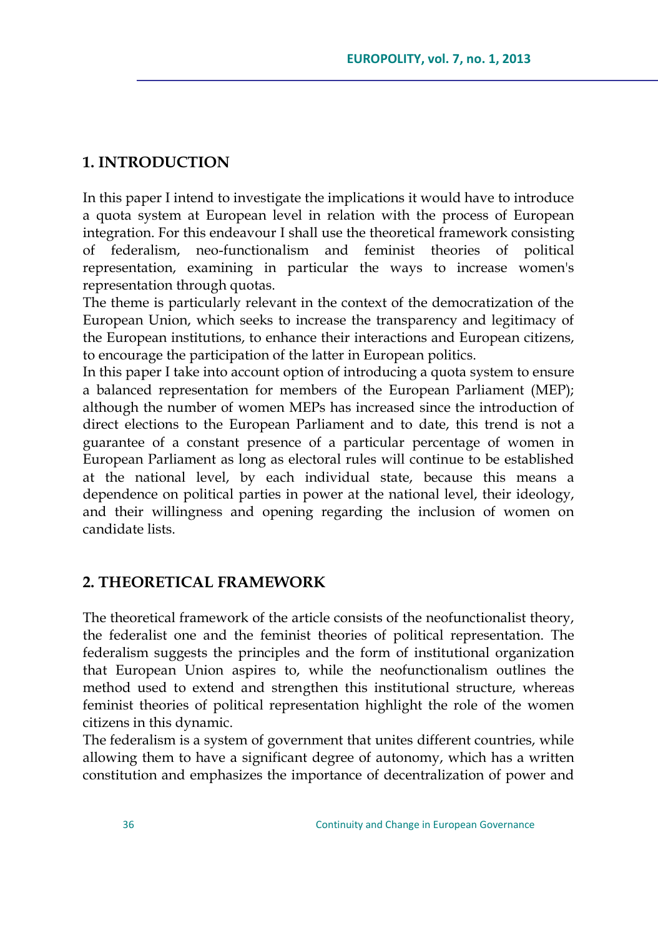## **1. INTRODUCTION**

In this paper I intend to investigate the implications it would have to introduce a quota system at European level in relation with the process of European integration. For this endeavour I shall use the theoretical framework consisting of federalism, neo-functionalism and feminist theories of political representation, examining in particular the ways to increase women's representation through quotas.

The theme is particularly relevant in the context of the democratization of the European Union, which seeks to increase the transparency and legitimacy of the European institutions, to enhance their interactions and European citizens, to encourage the participation of the latter in European politics.

In this paper I take into account option of introducing a quota system to ensure a balanced representation for members of the European Parliament (MEP); although the number of women MEPs has increased since the introduction of direct elections to the European Parliament and to date, this trend is not a guarantee of a constant presence of a particular percentage of women in European Parliament as long as electoral rules will continue to be established at the national level, by each individual state, because this means a dependence on political parties in power at the national level, their ideology, and their willingness and opening regarding the inclusion of women on candidate lists.

## **2. THEORETICAL FRAMEWORK**

The theoretical framework of the article consists of the neofunctionalist theory, the federalist one and the feminist theories of political representation. The federalism suggests the principles and the form of institutional organization that European Union aspires to, while the neofunctionalism outlines the method used to extend and strengthen this institutional structure, whereas feminist theories of political representation highlight the role of the women citizens in this dynamic.

The federalism is a system of government that unites different countries, while allowing them to have a significant degree of autonomy, which has a written constitution and emphasizes the importance of decentralization of power and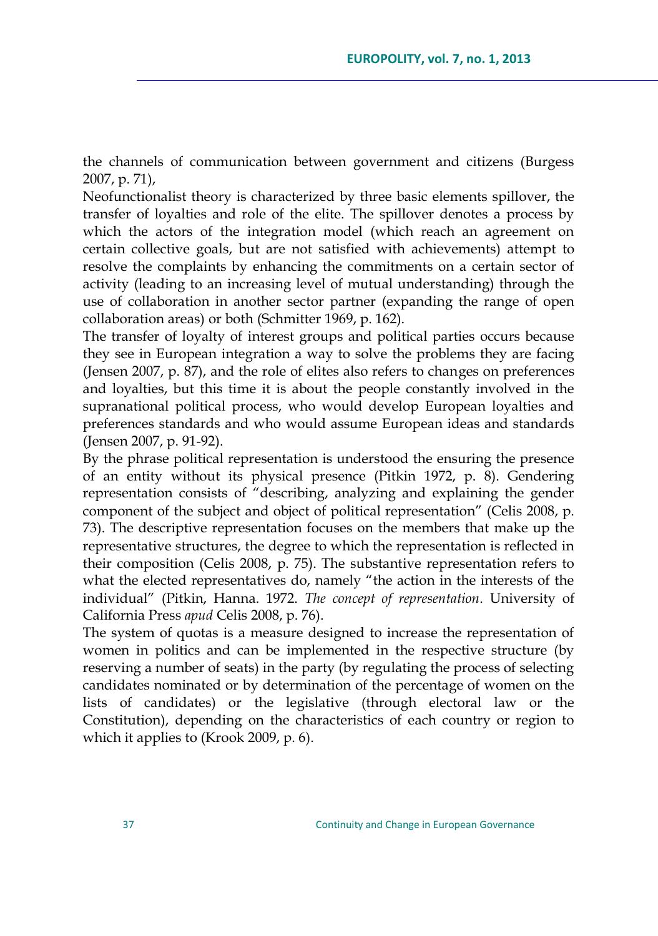the channels of communication between government and citizens (Burgess 2007, p. 71),

Neofunctionalist theory is characterized by three basic elements spillover, the transfer of loyalties and role of the elite. The spillover denotes a process by which the actors of the integration model (which reach an agreement on certain collective goals, but are not satisfied with achievements) attempt to resolve the complaints by enhancing the commitments on a certain sector of activity (leading to an increasing level of mutual understanding) through the use of collaboration in another sector partner (expanding the range of open collaboration areas) or both (Schmitter 1969, p. 162).

The transfer of loyalty of interest groups and political parties occurs because they see in European integration a way to solve the problems they are facing (Jensen 2007, p. 87), and the role of elites also refers to changes on preferences and loyalties, but this time it is about the people constantly involved in the supranational political process, who would develop European loyalties and preferences standards and who would assume European ideas and standards (Jensen 2007, p. 91-92).

By the phrase political representation is understood the ensuring the presence of an entity without its physical presence (Pitkin 1972, p. 8). Gendering representation consists of "describing, analyzing and explaining the gender component of the subject and object of political representation" (Celis 2008, p. 73). The descriptive representation focuses on the members that make up the representative structures, the degree to which the representation is reflected in their composition (Celis 2008, p. 75). The substantive representation refers to what the elected representatives do, namely "the action in the interests of the individual" (Pitkin, Hanna. 1972. *The concept of representation*. University of California Press *apud* Celis 2008, p. 76).

The system of quotas is a measure designed to increase the representation of women in politics and can be implemented in the respective structure (by reserving a number of seats) in the party (by regulating the process of selecting candidates nominated or by determination of the percentage of women on the lists of candidates) or the legislative (through electoral law or the Constitution), depending on the characteristics of each country or region to which it applies to (Krook 2009, p. 6).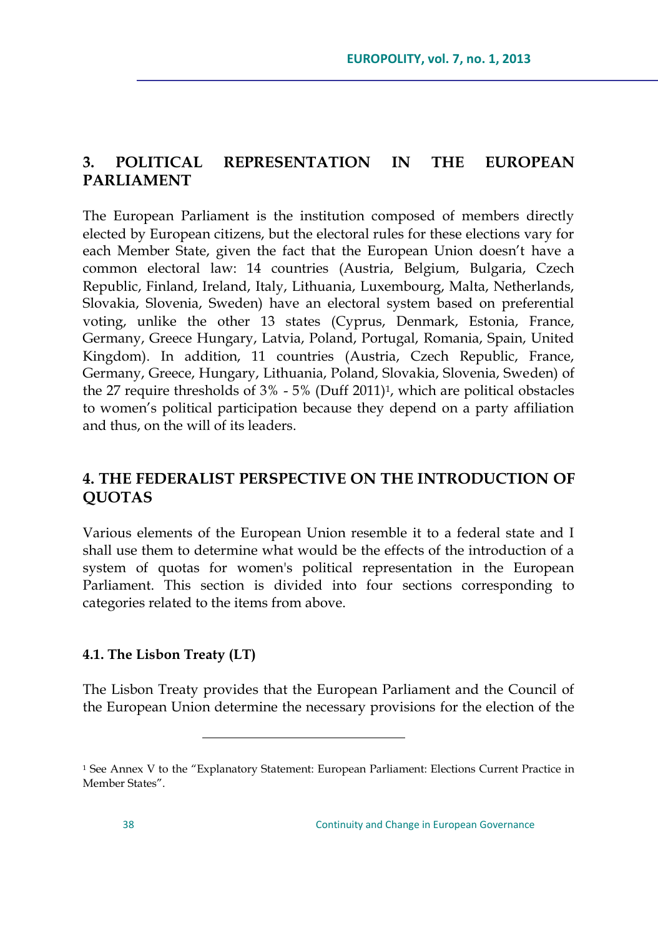## **3. POLITICAL REPRESENTATION IN THE EUROPEAN PARLIAMENT**

The European Parliament is the institution composed of members directly elected by European citizens, but the electoral rules for these elections vary for each Member State, given the fact that the European Union doesn't have a common electoral law: 14 countries (Austria, Belgium, Bulgaria, Czech Republic, Finland, Ireland, Italy, Lithuania, Luxembourg, Malta, Netherlands, Slovakia, Slovenia, Sweden) have an electoral system based on preferential voting, unlike the other 13 states (Cyprus, Denmark, Estonia, France, Germany, Greece Hungary, Latvia, Poland, Portugal, Romania, Spain, United Kingdom). In addition, 11 countries (Austria, Czech Republic, France, Germany, Greece, Hungary, Lithuania, Poland, Slovakia, Slovenia, Sweden) of the 27 require thresholds of 3% - 5% (Duff 2011)<sup>1</sup> , which are political obstacles to women"s political participation because they depend on a party affiliation and thus, on the will of its leaders.

# **4. THE FEDERALIST PERSPECTIVE ON THE INTRODUCTION OF QUOTAS**

Various elements of the European Union resemble it to a federal state and I shall use them to determine what would be the effects of the introduction of a system of quotas for women's political representation in the European Parliament. This section is divided into four sections corresponding to categories related to the items from above.

## **4.1. The Lisbon Treaty (LT)**

 $\overline{a}$ 

The Lisbon Treaty provides that the European Parliament and the Council of the European Union determine the necessary provisions for the election of the

<sup>1</sup> See Annex V to the "Explanatory Statement: European Parliament: Elections Current Practice in Member States".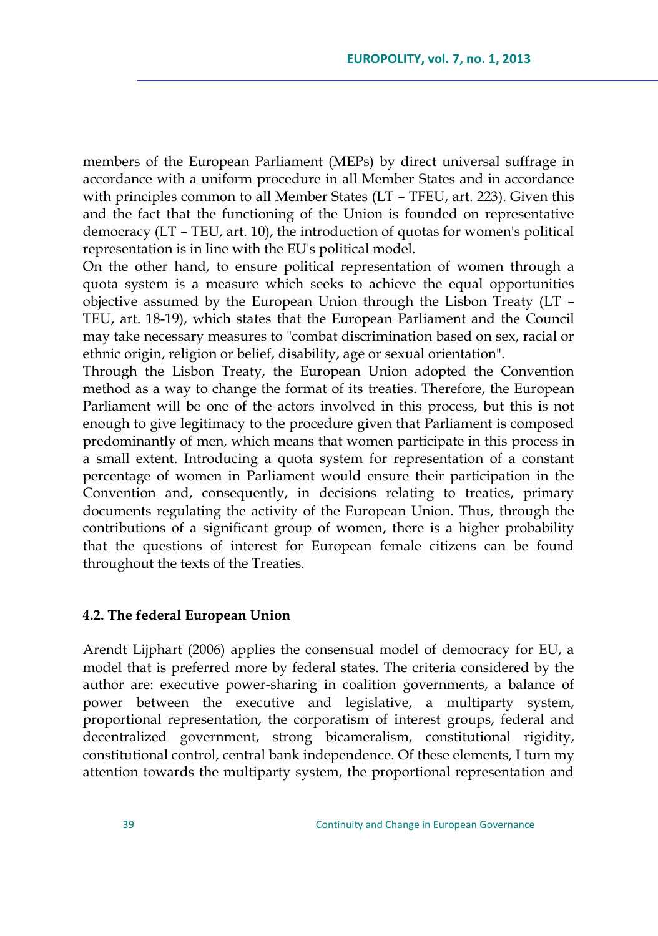members of the European Parliament (MEPs) by direct universal suffrage in accordance with a uniform procedure in all Member States and in accordance with principles common to all Member States (LT – TFEU, art. 223). Given this and the fact that the functioning of the Union is founded on representative democracy (LT – TEU, art. 10), the introduction of quotas for women's political representation is in line with the EU's political model.

On the other hand, to ensure political representation of women through a quota system is a measure which seeks to achieve the equal opportunities objective assumed by the European Union through the Lisbon Treaty (LT – TEU, art. 18-19), which states that the European Parliament and the Council may take necessary measures to "combat discrimination based on sex, racial or ethnic origin, religion or belief, disability, age or sexual orientation".

Through the Lisbon Treaty, the European Union adopted the Convention method as a way to change the format of its treaties. Therefore, the European Parliament will be one of the actors involved in this process, but this is not enough to give legitimacy to the procedure given that Parliament is composed predominantly of men, which means that women participate in this process in a small extent. Introducing a quota system for representation of a constant percentage of women in Parliament would ensure their participation in the Convention and, consequently, in decisions relating to treaties, primary documents regulating the activity of the European Union. Thus, through the contributions of a significant group of women, there is a higher probability that the questions of interest for European female citizens can be found throughout the texts of the Treaties.

### **4.2. The federal European Union**

Arendt Lijphart (2006) applies the consensual model of democracy for EU, a model that is preferred more by federal states. The criteria considered by the author are: executive power-sharing in coalition governments, a balance of power between the executive and legislative, a multiparty system, proportional representation, the corporatism of interest groups, federal and decentralized government, strong bicameralism, constitutional rigidity, constitutional control, central bank independence. Of these elements, I turn my attention towards the multiparty system, the proportional representation and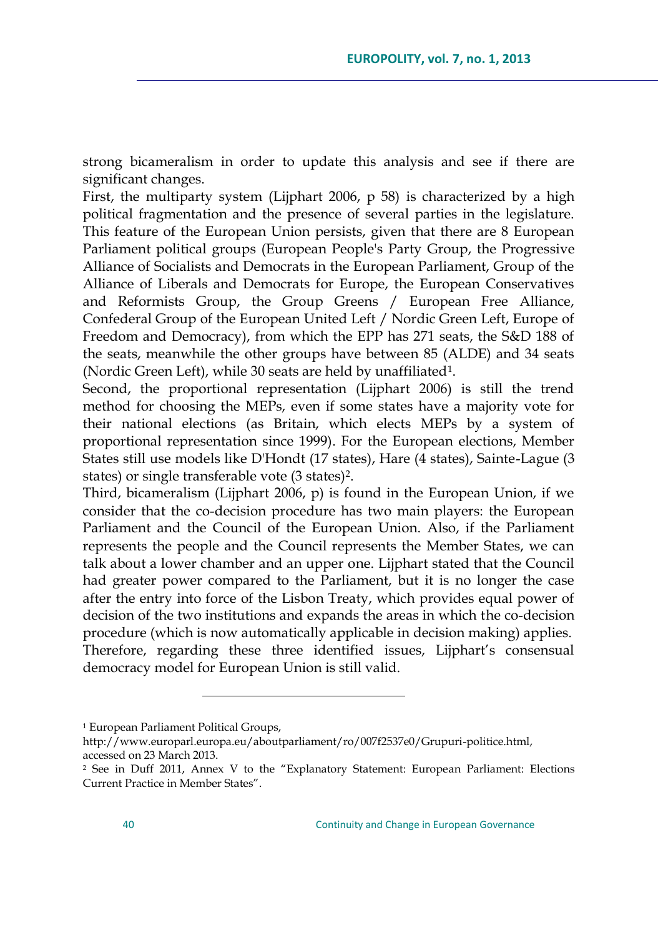strong bicameralism in order to update this analysis and see if there are significant changes.

First, the multiparty system (Lijphart 2006, p 58) is characterized by a high political fragmentation and the presence of several parties in the legislature. This feature of the European Union persists, given that there are 8 European Parliament political groups (European People's Party Group, the Progressive Alliance of Socialists and Democrats in the European Parliament, Group of the Alliance of Liberals and Democrats for Europe, the European Conservatives and Reformists Group, the Group Greens / European Free Alliance, Confederal Group of the European United Left / Nordic Green Left, Europe of Freedom and Democracy), from which the EPP has 271 seats, the S&D 188 of the seats, meanwhile the other groups have between 85 (ALDE) and 34 seats (Nordic Green Left), while 30 seats are held by unaffiliated $^1$ .

Second, the proportional representation (Lijphart 2006) is still the trend method for choosing the MEPs, even if some states have a majority vote for their national elections (as Britain, which elects MEPs by a system of proportional representation since 1999). For the European elections, Member States still use models like D'Hondt (17 states), Hare (4 states), Sainte-Lague (3 states) or single transferable vote (3 states)<sup>2</sup> .

Third, bicameralism (Lijphart 2006, p) is found in the European Union, if we consider that the co-decision procedure has two main players: the European Parliament and the Council of the European Union. Also, if the Parliament represents the people and the Council represents the Member States, we can talk about a lower chamber and an upper one. Lijphart stated that the Council had greater power compared to the Parliament, but it is no longer the case after the entry into force of the Lisbon Treaty, which provides equal power of decision of the two institutions and expands the areas in which the co-decision procedure (which is now automatically applicable in decision making) applies. Therefore, regarding these three identified issues, Lijphart's consensual democracy model for European Union is still valid.

<sup>1</sup> European Parliament Political Groups,

[http://www.europarl.europa.eu/aboutparliament/ro/007f2537e0/Grupuri-politice.html,](http://www.europarl.europa.eu/aboutparliament/ro/007f2537e0/Grupuri-politice.html)  accessed on 23 March 2013.

<sup>2</sup> See in Duff 2011, Annex V to the "Explanatory Statement: European Parliament: Elections Current Practice in Member States".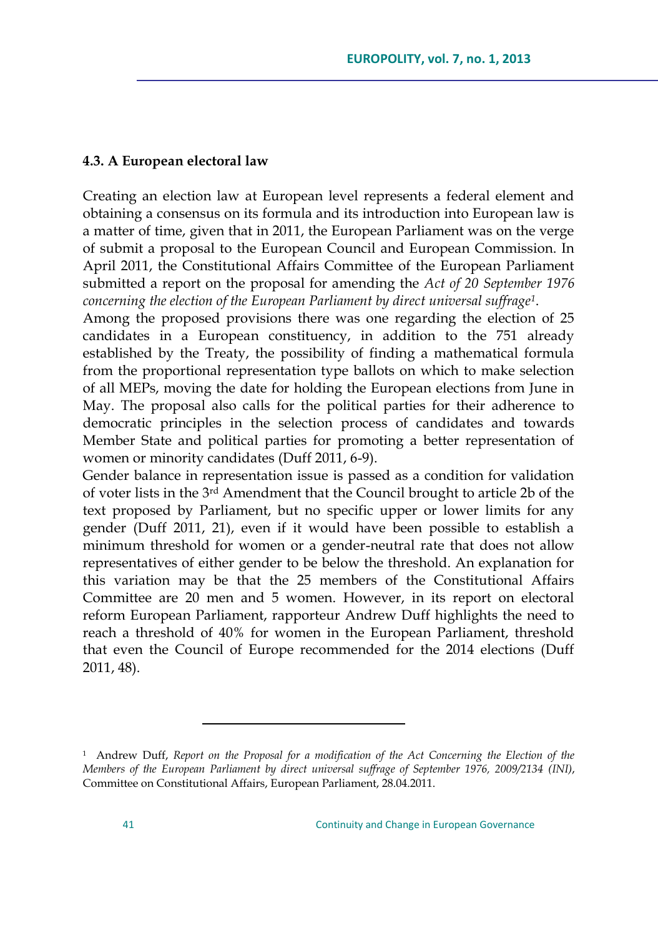## **4.3. A European electoral law**

Creating an election law at European level represents a federal element and obtaining a consensus on its formula and its introduction into European law is a matter of time, given that in 2011, the European Parliament was on the verge of submit a proposal to the European Council and European Commission. In April 2011, the Constitutional Affairs Committee of the European Parliament submitted a report on the proposal for amending the *Act of 20 September 1976 concerning the election of the European Parliament by direct universal suffrage<sup>1</sup>* .

Among the proposed provisions there was one regarding the election of 25 candidates in a European constituency, in addition to the 751 already established by the Treaty, the possibility of finding a mathematical formula from the proportional representation type ballots on which to make selection of all MEPs, moving the date for holding the European elections from June in May. The proposal also calls for the political parties for their adherence to democratic principles in the selection process of candidates and towards Member State and political parties for promoting a better representation of women or minority candidates (Duff 2011, 6-9).

Gender balance in representation issue is passed as a condition for validation of voter lists in the 3rd Amendment that the Council brought to article 2b of the text proposed by Parliament, but no specific upper or lower limits for any gender (Duff 2011, 21), even if it would have been possible to establish a minimum threshold for women or a gender-neutral rate that does not allow representatives of either gender to be below the threshold. An explanation for this variation may be that the 25 members of the Constitutional Affairs Committee are 20 men and 5 women. However, in its report on electoral reform European Parliament, rapporteur Andrew Duff highlights the need to reach a threshold of 40% for women in the European Parliament, threshold that even the Council of Europe recommended for the 2014 elections (Duff 2011, 48).

<sup>&</sup>lt;sup>1</sup> Andrew Duff, *Report on the Proposal for a modification of the Act Concerning the Election of the Members of the European Parliament by direct universal suffrage of September 1976, 2009/2134 (INI)*, Committee on Constitutional Affairs, European Parliament, 28.04.2011.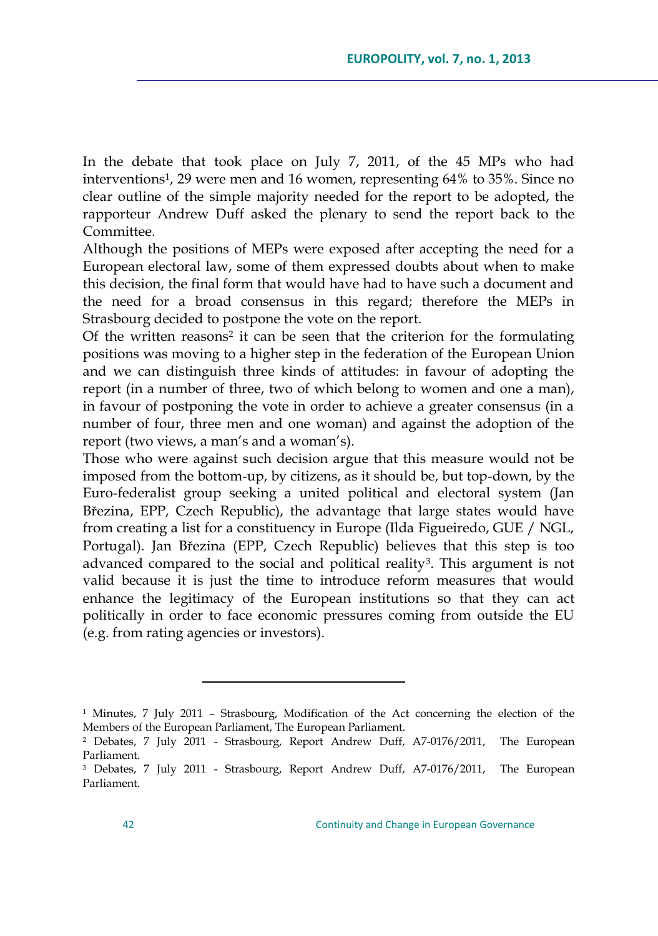In the debate that took place on July 7, 2011, of the 45 MPs who had interventions<sup>1</sup> , 29 were men and 16 women, representing 64% to 35%. Since no clear outline of the simple majority needed for the report to be adopted, the rapporteur Andrew Duff asked the plenary to send the report back to the Committee.

Although the positions of MEPs were exposed after accepting the need for a European electoral law, some of them expressed doubts about when to make this decision, the final form that would have had to have such a document and the need for a broad consensus in this regard; therefore the MEPs in Strasbourg decided to postpone the vote on the report.

Of the written reasons<sup>2</sup> it can be seen that the criterion for the formulating positions was moving to a higher step in the federation of the European Union and we can distinguish three kinds of attitudes: in favour of adopting the report (in a number of three, two of which belong to women and one a man), in favour of postponing the vote in order to achieve a greater consensus (in a number of four, three men and one woman) and against the adoption of the report (two views, a man's and a woman's).

Those who were against such decision argue that this measure would not be imposed from the bottom-up, by citizens, as it should be, but top-down, by the Euro-federalist group seeking a united political and electoral system (Jan Březina, EPP, Czech Republic), the advantage that large states would have from creating a list for a constituency in Europe (Ilda Figueiredo, GUE / NGL, Portugal). Jan Březina (EPP, Czech Republic) believes that this step is too advanced compared to the social and political reality<sup>3</sup>. This argument is not valid because it is just the time to introduce reform measures that would enhance the legitimacy of the European institutions so that they can act politically in order to face economic pressures coming from outside the EU (e.g. from rating agencies or investors).

<sup>1</sup> Minutes, 7 July 2011 – Strasbourg, Modification of the Act concerning the election of the Members of the European Parliament, The European Parliament.

<sup>2</sup> Debates, 7 July 2011 - Strasbourg, Report Andrew Duff, A7-0176/2011, The European Parliament.

<sup>3</sup> Debates, 7 July 2011 - Strasbourg, Report Andrew Duff, A7-0176/2011, The European Parliament.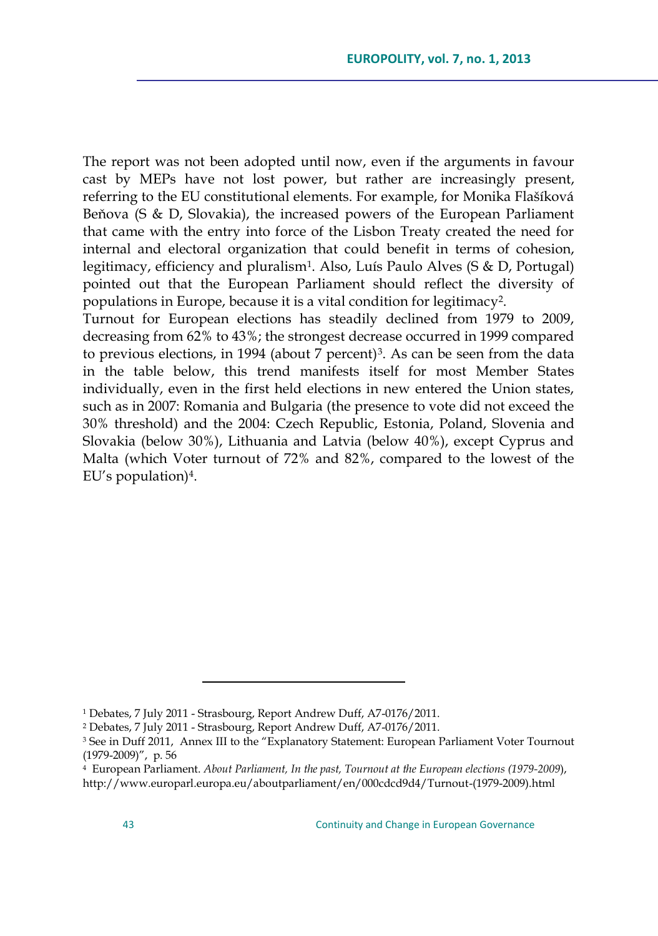The report was not been adopted until now, even if the arguments in favour cast by MEPs have not lost power, but rather are increasingly present, referring to the EU constitutional elements. For example, for Monika Flašíková Beňova (S & D, Slovakia), the increased powers of the European Parliament that came with the entry into force of the Lisbon Treaty created the need for internal and electoral organization that could benefit in terms of cohesion, legitimacy, efficiency and pluralism<sup>1</sup> . Also, Luís Paulo Alves (S & D, Portugal) pointed out that the European Parliament should reflect the diversity of populations in Europe, because it is a vital condition for legitimacy<sup>2</sup>.

Turnout for European elections has steadily declined from 1979 to 2009, decreasing from 62% to 43%; the strongest decrease occurred in 1999 compared to previous elections, in 1994 (about 7 percent)<sup>3</sup>. As can be seen from the data in the table below, this trend manifests itself for most Member States individually, even in the first held elections in new entered the Union states, such as in 2007: Romania and Bulgaria (the presence to vote did not exceed the 30% threshold) and the 2004: Czech Republic, Estonia, Poland, Slovenia and Slovakia (below 30%), Lithuania and Latvia (below 40%), except Cyprus and Malta (which Voter turnout of 72% and 82%, compared to the lowest of the EU"s population)<sup>4</sup> .

<sup>1</sup> Debates, 7 July 2011 - Strasbourg, Report Andrew Duff, A7-0176/2011.

<sup>2</sup> Debates, 7 July 2011 - Strasbourg, Report Andrew Duff, A7-0176/2011.

<sup>3</sup> See in Duff 2011, Annex III to the "Explanatory Statement: European Parliament Voter Tournout (1979-2009)", p. 56

<sup>4</sup> European Parliament. *About Parliament, In the past, Tournout at the European elections (1979-2009*), [http://www.europarl.europa.eu/aboutparliament/en/000cdcd9d4/Turnout-\(1979-2009\).html](http://www.europarl.europa.eu/aboutparliament/en/000cdcd9d4/Turnout-(1979-2009).html)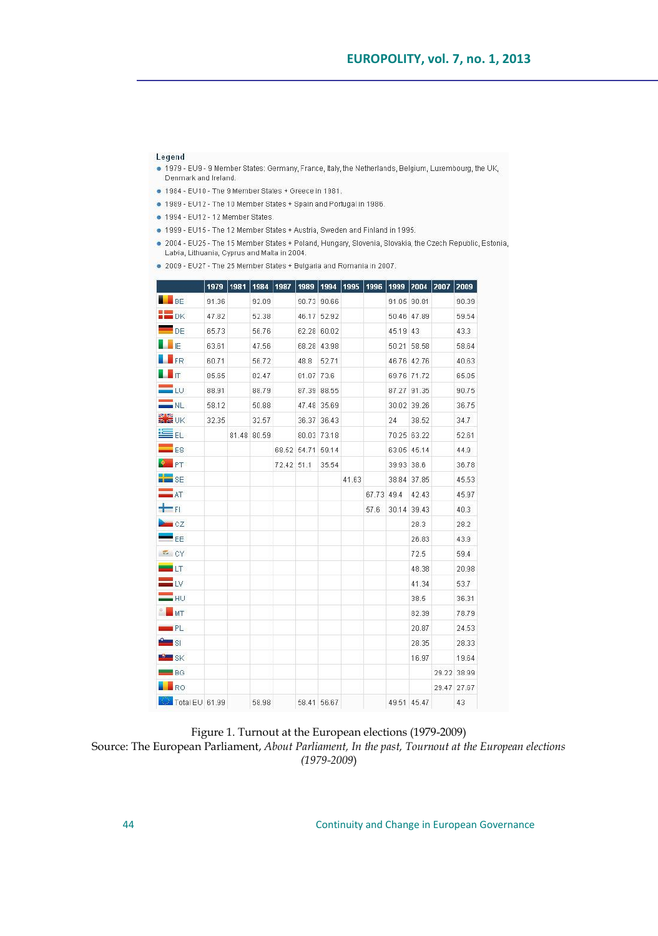#### Legend

- . 1979 EU9 9 Member States: Germany, France, Italy, the Netherlands, Belgium, Luxembourg, the UK, Denmark and Ireland.
- . 1984 EU10 The 9 Member States + Greece in 1981.
- . 1989 EU12 The 10 Member States + Spain and Portugal in 1986.
- · 1994 FU12 12 Member States
- . 1999 EU15 The 12 Member States + Austria, Sweden and Finland in 1995.
- .<br>2004 EU25 The 15 Member States + Poland, Hungary, Slovenia, Slovakia, the Czech Republic, Estonia, Latvia, Lithuania, Cyprus and Malta in 2004.

. 2009 - EU27 - The 25 Member States + Bulgaria and Romania in 2007.

|                              | 1979  | 1981 | 1984        | 1987       | 1989        | 1994        | 1995  | 1996       | 1999       | 2004 2007   | 2009        |
|------------------------------|-------|------|-------------|------------|-------------|-------------|-------|------------|------------|-------------|-------------|
| $\blacksquare$ BE            | 91.36 |      | 92.09       |            |             | 90.73 90.66 |       |            |            | 91.05 90.81 | 90.39       |
| $\blacksquare$ DK            | 47.82 |      | 52.38       |            |             | 46.17 52.92 |       |            |            | 50.46 47.89 | 59.54       |
| $\blacksquare$ <sub>DE</sub> | 65.73 |      | 56.76       |            |             | 62.28 60.02 |       |            | 45.19 43   |             | 43.3        |
| <b>ALL</b> IE                | 63.61 |      | 47.56       |            |             | 68.28 43.98 |       |            |            | 50.21 58.58 | 58.64       |
| <b>LER</b>                   | 60.71 |      | 56.72       |            | 48.8        | 52.71       |       |            |            | 46.76 42.76 | 40.63       |
| $\blacksquare$               | 85.65 |      | 82.47       |            | 81.07       | 73.6        |       |            |            | 69.76 71.72 | 65.05       |
| $=$ to                       | 88.91 |      | 88.79       |            |             | 87.39 88.55 |       |            |            | 87.27 91.35 | 90.75       |
| $\equiv$ NL                  | 58.12 |      | 50.88       |            |             | 47.48 35.69 |       |            |            | 30.02 39.26 | 36.75       |
| <b>MAR</b> UK                | 32.35 |      | 32.57       |            |             | 36.37 36.43 |       |            | 24         | 38.52       | 34.7        |
| ≌ a                          |       |      | 81.48 80.59 |            |             | 80.03 73.18 |       |            |            | 70.25 63.22 | 52.61       |
| $\equiv$ ES                  |       |      |             |            | 68.52 54.71 | 59.14       |       |            |            | 63.05 45.14 | 44.9        |
| $\bullet$ PT                 |       |      |             | 72.42 51.1 |             | 35.54       |       |            | 39.93 38.6 |             | 36.78       |
| <b>ENERGY</b> SE             |       |      |             |            |             |             | 41.63 |            |            | 38.84 37.85 | 45.53       |
| $-$ AT                       |       |      |             |            |             |             |       | 67.73 49.4 |            | 42.43       | 45.97       |
| $+$ FI                       |       |      |             |            |             |             |       | 57.6       |            | 30.14 39.43 | 40.3        |
| CZ                           |       |      |             |            |             |             |       |            |            | 28.3        | 28.2        |
| $-$ EE                       |       |      |             |            |             |             |       |            |            | 26.83       | 43.9        |
| CY                           |       |      |             |            |             |             |       |            |            | 72.5        | 59.4        |
| $-17$                        |       |      |             |            |             |             |       |            |            | 48.38       | 20.98       |
| $=$ tv                       |       |      |             |            |             |             |       |            |            | 41.34       | 53.7        |
| $=$ ни                       |       |      |             |            |             |             |       |            |            | 38.5        | 36.31       |
| MT                           |       |      |             |            |             |             |       |            |            | 82.39       | 78.79       |
| PL                           |       |      |             |            |             |             |       |            |            | 20.87       | 24.53       |
| <u>Ang</u> si                |       |      |             |            |             |             |       |            |            | 28.35       | 28.33       |
| SK <sub>S</sub>              |       |      |             |            |             |             |       |            |            | 16.97       | 19.64       |
| $\equiv$ BG                  |       |      |             |            |             |             |       |            |            |             | 29.22 38.99 |
| <b>N</b> RO                  |       |      |             |            |             |             |       |            |            |             | 29.47 27.67 |
| Total EU 61.99               |       |      | 58.98       |            |             | 58.41 56.67 |       |            |            | 49.51 45.47 | 43          |

Figure 1. Turnout at the European elections (1979-2009)

Source: The European Parliament, *About Parliament, In the past, Tournout at the European elections (1979-2009*)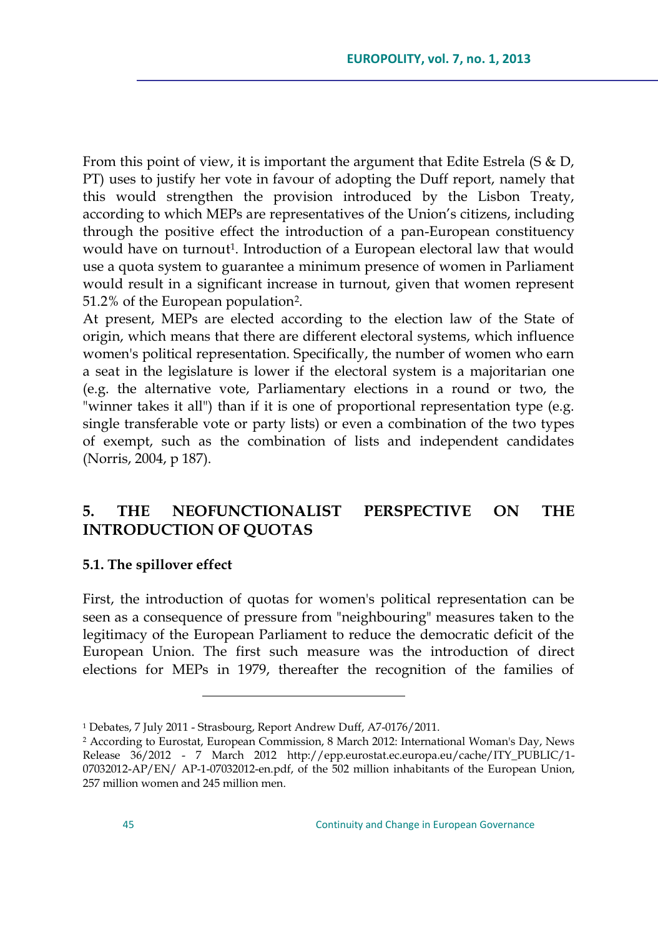From this point of view, it is important the argument that Edite Estrela (S & D, PT) uses to justify her vote in favour of adopting the Duff report, namely that this would strengthen the provision introduced by the Lisbon Treaty, according to which MEPs are representatives of the Union"s citizens, including through the positive effect the introduction of a pan-European constituency would have on turnout 1 . Introduction of a European electoral law that would use a quota system to guarantee a minimum presence of women in Parliament would result in a significant increase in turnout, given that women represent 51.2% of the European population<sup>2</sup> .

At present, MEPs are elected according to the election law of the State of origin, which means that there are different electoral systems, which influence women's political representation. Specifically, the number of women who earn a seat in the legislature is lower if the electoral system is a majoritarian one (e.g. the alternative vote, Parliamentary elections in a round or two, the "winner takes it all") than if it is one of proportional representation type (e.g. single transferable vote or party lists) or even a combination of the two types of exempt, such as the combination of lists and independent candidates (Norris, 2004, p 187).

# **5. THE NEOFUNCTIONALIST PERSPECTIVE ON THE INTRODUCTION OF QUOTAS**

### **5.1. The spillover effect**

First, the introduction of quotas for women's political representation can be seen as a consequence of pressure from "neighbouring" measures taken to the legitimacy of the European Parliament to reduce the democratic deficit of the European Union. The first such measure was the introduction of direct elections for MEPs in 1979, thereafter the recognition of the families of

<sup>1</sup> Debates, 7 July 2011 - Strasbourg, Report Andrew Duff, A7-0176/2011.

<sup>2</sup> According to Eurostat, European Commission, 8 March 2012: International Woman's Day, News Release 36/2012 - 7 March 2012 http://epp.eurostat.ec.europa.eu/cache/ITY\_PUBLIC/1- 07032012-AP/EN/ AP-1-07032012-en.pdf, of the 502 million inhabitants of the European Union, 257 million women and 245 million men.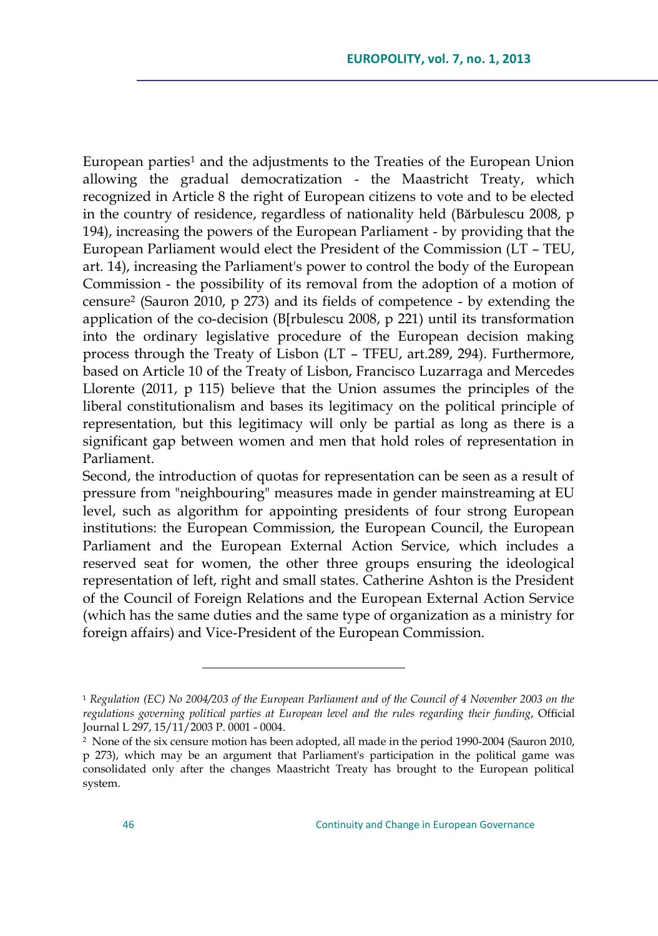European parties<sup>1</sup> and the adjustments to the Treaties of the European Union allowing the gradual democratization - the Maastricht Treaty, which recognized in Article 8 the right of European citizens to vote and to be elected in the country of residence, regardless of nationality held (Bărbulescu 2008, p 194), increasing the powers of the European Parliament - by providing that the European Parliament would elect the President of the Commission (LT – TEU, art. 14), increasing the Parliament's power to control the body of the European Commission - the possibility of its removal from the adoption of a motion of censure<sup>2</sup> (Sauron 2010, p 273) and its fields of competence - by extending the application of the co-decision (B[rbulescu 2008, p 221) until its transformation into the ordinary legislative procedure of the European decision making process through the Treaty of Lisbon (LT – TFEU, art.289, 294). Furthermore, based on Article 10 of the Treaty of Lisbon, Francisco Luzarraga and Mercedes Llorente (2011, p 115) believe that the Union assumes the principles of the liberal constitutionalism and bases its legitimacy on the political principle of representation, but this legitimacy will only be partial as long as there is a significant gap between women and men that hold roles of representation in Parliament.

Second, the introduction of quotas for representation can be seen as a result of pressure from "neighbouring" measures made in gender mainstreaming at EU level, such as algorithm for appointing presidents of four strong European institutions: the European Commission, the European Council, the European Parliament and the European External Action Service, which includes a reserved seat for women, the other three groups ensuring the ideological representation of left, right and small states. Catherine Ashton is the President of the Council of Foreign Relations and the European External Action Service (which has the same duties and the same type of organization as a ministry for foreign affairs) and Vice-President of the European Commission.

<sup>1</sup> *Regulation (EC) No 2004/203 of the European Parliament and of the Council of 4 November 2003 on the regulations governing political parties at European level and the rules regarding their funding*, Official Journal L 297, 15/11/2003 P. 0001 - 0004.

<sup>2</sup> None of the six censure motion has been adopted, all made in the period 1990-2004 (Sauron 2010, p 273), which may be an argument that Parliament's participation in the political game was consolidated only after the changes Maastricht Treaty has brought to the European political system.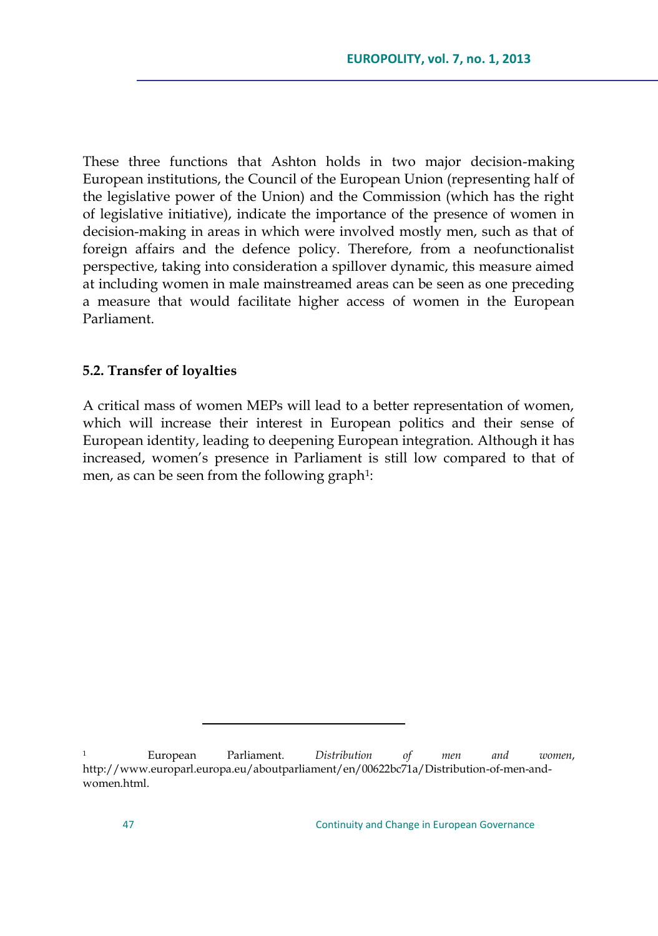These three functions that Ashton holds in two major decision-making European institutions, the Council of the European Union (representing half of the legislative power of the Union) and the Commission (which has the right of legislative initiative), indicate the importance of the presence of women in decision-making in areas in which were involved mostly men, such as that of foreign affairs and the defence policy. Therefore, from a neofunctionalist perspective, taking into consideration a spillover dynamic, this measure aimed at including women in male mainstreamed areas can be seen as one preceding a measure that would facilitate higher access of women in the European Parliament.

## **5.2. Transfer of loyalties**

A critical mass of women MEPs will lead to a better representation of women, which will increase their interest in European politics and their sense of European identity, leading to deepening European integration. Although it has increased, women"s presence in Parliament is still low compared to that of men, as can be seen from the following graph<sup>1</sup>:

<sup>1</sup> European Parliament. *Distribution of men and women*, http://www.europarl.europa.eu/aboutparliament/en/00622bc71a/Distribution-of-men-andwomen.html.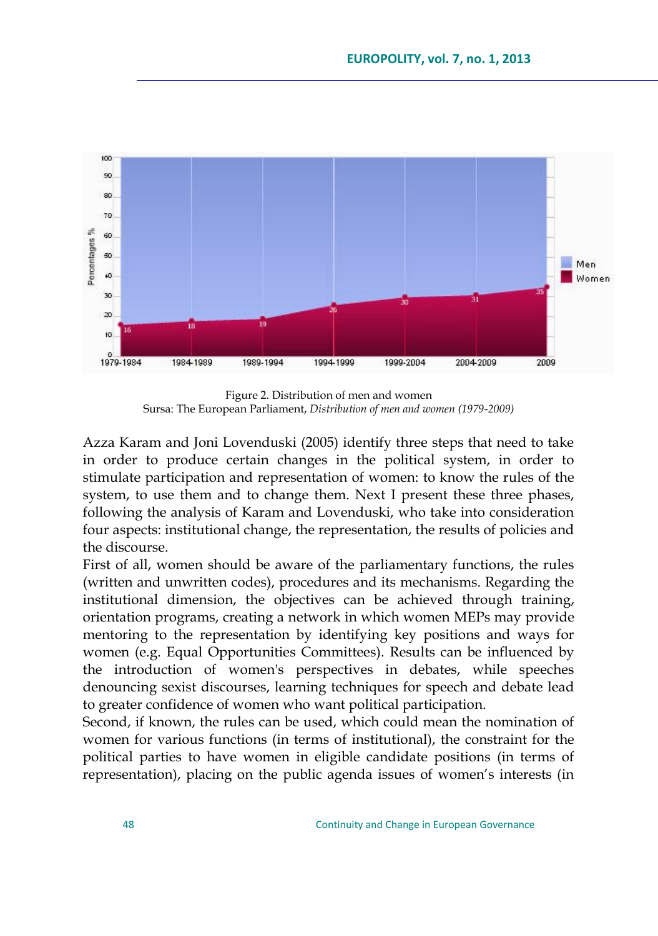

Figure 2. Distribution of men and women Sursa: The European Parliament, *Distribution of men and women (1979-2009)*

Azza Karam and Joni Lovenduski (2005) identify three steps that need to take in order to produce certain changes in the political system, in order to stimulate participation and representation of women: to know the rules of the system, to use them and to change them. Next I present these three phases, following the analysis of Karam and Lovenduski, who take into consideration four aspects: institutional change, the representation, the results of policies and the discourse.

First of all, women should be aware of the parliamentary functions, the rules (written and unwritten codes), procedures and its mechanisms. Regarding the institutional dimension, the objectives can be achieved through training, orientation programs, creating a network in which women MEPs may provide mentoring to the representation by identifying key positions and ways for women (e.g. Equal Opportunities Committees). Results can be influenced by the introduction of women's perspectives in debates, while speeches denouncing sexist discourses, learning techniques for speech and debate lead to greater confidence of women who want political participation.

Second, if known, the rules can be used, which could mean the nomination of women for various functions (in terms of institutional), the constraint for the political parties to have women in eligible candidate positions (in terms of representation), placing on the public agenda issues of women"s interests (in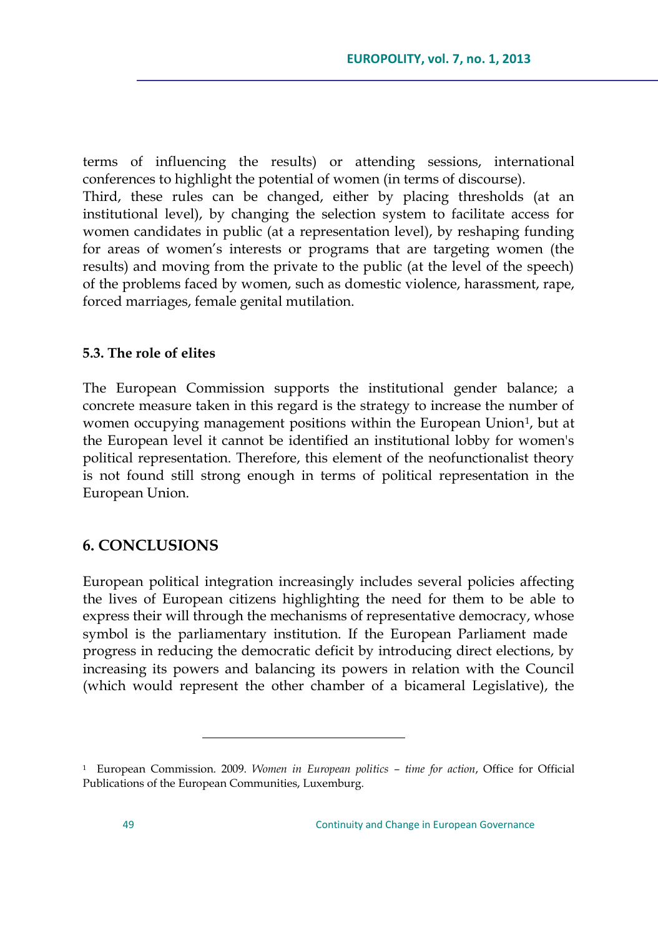terms of influencing the results) or attending sessions, international conferences to highlight the potential of women (in terms of discourse). Third, these rules can be changed, either by placing thresholds (at an institutional level), by changing the selection system to facilitate access for women candidates in public (at a representation level), by reshaping funding for areas of women"s interests or programs that are targeting women (the results) and moving from the private to the public (at the level of the speech) of the problems faced by women, such as domestic violence, harassment, rape, forced marriages, female genital mutilation.

### **5.3. The role of elites**

The European Commission supports the institutional gender balance; a concrete measure taken in this regard is the strategy to increase the number of women occupying management positions within the European Union<sup>1</sup>, but at the European level it cannot be identified an institutional lobby for women's political representation. Therefore, this element of the neofunctionalist theory is not found still strong enough in terms of political representation in the European Union.

## **6. CONCLUSIONS**

 $\overline{a}$ 

European political integration increasingly includes several policies affecting the lives of European citizens highlighting the need for them to be able to express their will through the mechanisms of representative democracy, whose symbol is the parliamentary institution. If the European Parliament made progress in reducing the democratic deficit by introducing direct elections, by increasing its powers and balancing its powers in relation with the Council (which would represent the other chamber of a bicameral Legislative), the

<sup>1</sup> European Commission. 2009. *Women in European politics – time for action*, Office for Official Publications of the European Communities, Luxemburg.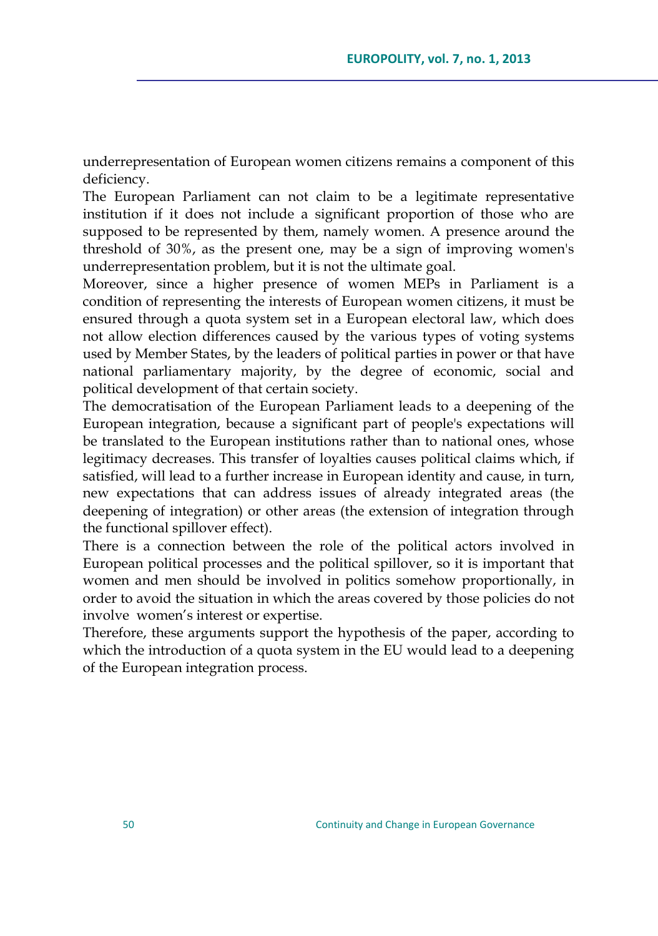underrepresentation of European women citizens remains a component of this deficiency.

The European Parliament can not claim to be a legitimate representative institution if it does not include a significant proportion of those who are supposed to be represented by them, namely women. A presence around the threshold of 30%, as the present one, may be a sign of improving women's underrepresentation problem, but it is not the ultimate goal.

Moreover, since a higher presence of women MEPs in Parliament is a condition of representing the interests of European women citizens, it must be ensured through a quota system set in a European electoral law, which does not allow election differences caused by the various types of voting systems used by Member States, by the leaders of political parties in power or that have national parliamentary majority, by the degree of economic, social and political development of that certain society.

The democratisation of the European Parliament leads to a deepening of the European integration, because a significant part of people's expectations will be translated to the European institutions rather than to national ones, whose legitimacy decreases. This transfer of loyalties causes political claims which, if satisfied, will lead to a further increase in European identity and cause, in turn, new expectations that can address issues of already integrated areas (the deepening of integration) or other areas (the extension of integration through the functional spillover effect).

There is a connection between the role of the political actors involved in European political processes and the political spillover, so it is important that women and men should be involved in politics somehow proportionally, in order to avoid the situation in which the areas covered by those policies do not involve women"s interest or expertise.

Therefore, these arguments support the hypothesis of the paper, according to which the introduction of a quota system in the EU would lead to a deepening of the European integration process.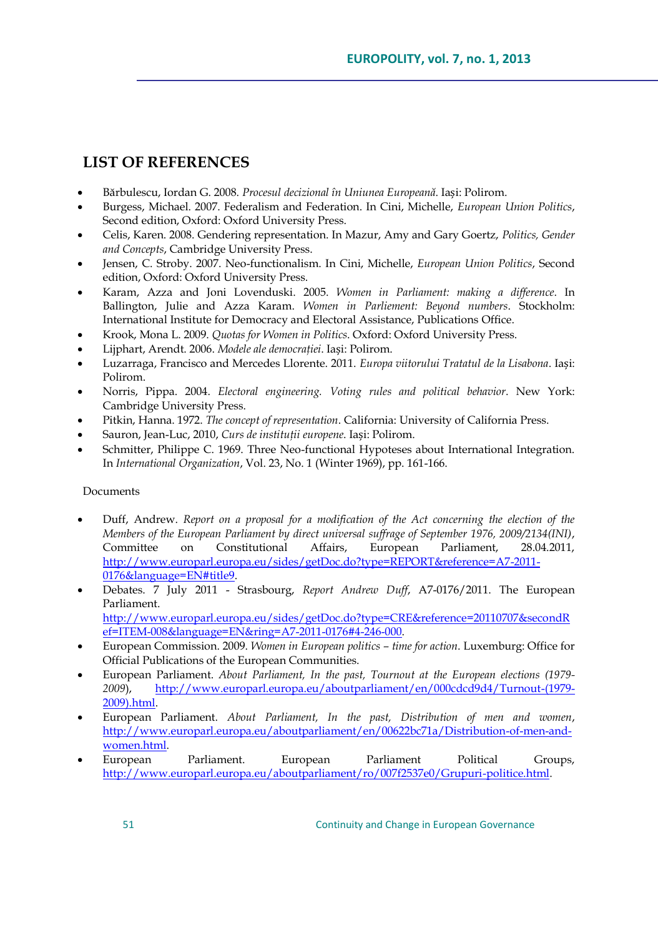# **LIST OF REFERENCES**

- Bărbulescu, Iordan G. 2008. *Procesul decizional în Uniunea Europeană*. Iași: Polirom.
- Burgess, Michael. 2007. Federalism and Federation. In Cini, Michelle, *European Union Politics*, Second edition, Oxford: Oxford University Press.
- Celis, Karen. 2008. Gendering representation. In Mazur, Amy and Gary Goertz, *Politics, Gender and Concepts*, Cambridge University Press.
- Jensen, C. Stroby. 2007. Neo-functionalism. In Cini, Michelle, *European Union Politics*, Second edition, Oxford: Oxford University Press.
- Karam, Azza and Joni Lovenduski. 2005. *Women in Parliament: making a difference*. In Ballington, Julie and Azza Karam. *Women in Parliement: Beyond numbers*. Stockholm: International Institute for Democracy and Electoral Assistance, Publications Office.
- Krook, Mona L. 2009. *Quotas for Women in Politics*. Oxford: Oxford University Press.
- Lijphart, Arendt. 2006. *Modele ale democraţiei*. Iași: Polirom.
- Luzarraga, Francisco and Mercedes Llorente. 2011. *Europa viitorului Tratatul de la Lisabona*. Iași: Polirom.
- Norris, Pippa. 2004. *Electoral engineering. Voting rules and political behavior*. New York: Cambridge University Press.
- Pitkin, Hanna. 1972. *The concept of representation*. California: University of California Press.
- Sauron, Jean-Luc, 2010, *Curs de instituţii europene*. Iași: Polirom.
- Schmitter, Philippe C. 1969. Three Neo-functional Hypoteses about International Integration. In *International Organization*, Vol. 23, No. 1 (Winter 1969), pp. 161-166.

### Documents

- Duff, Andrew. *Report on a proposal for a modification of the Act concerning the election of the Members of the European Parliament by direct universal suffrage of September 1976, 2009/2134(INI)*, Committee on Constitutional Affairs, European Parliament, 28.04.2011, [http://www.europarl.europa.eu/sides/getDoc.do?type=REPORT&reference=A7-2011-](http://www.europarl.europa.eu/sides/getDoc.do?type=REPORT&reference=A7-2011-0176&language=EN#title9) [0176&language=EN#title9.](http://www.europarl.europa.eu/sides/getDoc.do?type=REPORT&reference=A7-2011-0176&language=EN#title9)
- Debates. 7 July 2011 Strasbourg, *Report Andrew Duff*, A7-0176/2011. The European Parliament. [http://www.europarl.europa.eu/sides/getDoc.do?type=CRE&reference=20110707&secondR](http://www.europarl.europa.eu/sides/getDoc.do?type=CRE&reference=20110707&secondRef=ITEM-008&language=EN&ring=A7-2011-0176#4-246-000) [ef=ITEM-008&language=EN&ring=A7-2011-0176#4-246-000.](http://www.europarl.europa.eu/sides/getDoc.do?type=CRE&reference=20110707&secondRef=ITEM-008&language=EN&ring=A7-2011-0176#4-246-000)
- European Commission. 2009. *Women in European politics – time for action*. Luxemburg: Office for Official Publications of the European Communities.
- European Parliament. *About Parliament, In the past, Tournout at the European elections (1979- 2009*), [http://www.europarl.europa.eu/aboutparliament/en/000cdcd9d4/Turnout-\(1979-](http://www.europarl.europa.eu/aboutparliament/en/000cdcd9d4/Turnout-(1979-2009).html) [2009\).html.](http://www.europarl.europa.eu/aboutparliament/en/000cdcd9d4/Turnout-(1979-2009).html)
- European Parliament. *About Parliament, In the past, Distribution of men and women*, [http://www.europarl.europa.eu/aboutparliament/en/00622bc71a/Distribution-of-men-and](http://www.europarl.europa.eu/aboutparliament/en/00622bc71a/Distribution-of-men-and-women.html)[women.html.](http://www.europarl.europa.eu/aboutparliament/en/00622bc71a/Distribution-of-men-and-women.html)
- European Parliament. European Parliament Political Groups, [http://www.europarl.europa.eu/aboutparliament/ro/007f2537e0/Grupuri-politice.html.](http://www.europarl.europa.eu/aboutparliament/ro/007f2537e0/Grupuri-politice.html)